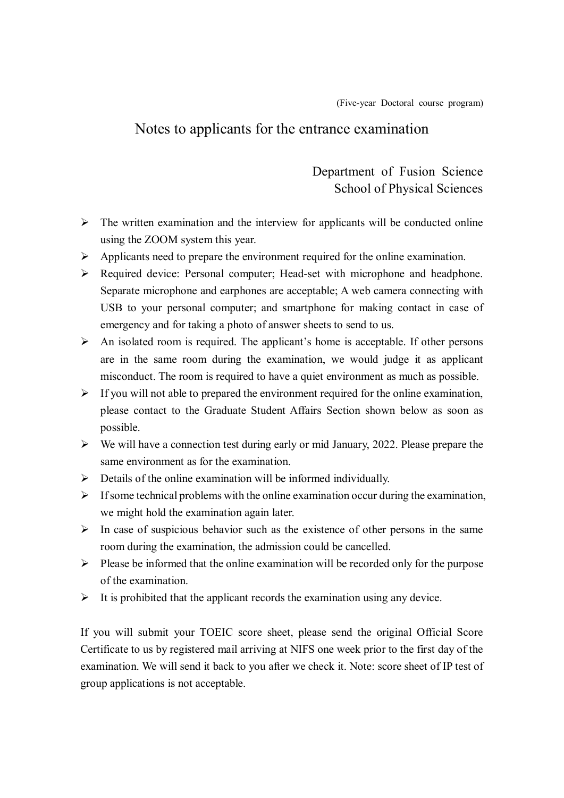## Notes to applicants for the entrance examination

Department of Fusion Science School of Physical Sciences

- $\triangleright$  The written examination and the interview for applicants will be conducted online using the ZOOM system this year.
- $\triangleright$  Applicants need to prepare the environment required for the online examination.
- Required device: Personal computer; Head-set with microphone and headphone. Separate microphone and earphones are acceptable; A web camera connecting with USB to your personal computer; and smartphone for making contact in case of emergency and for taking a photo of answer sheets to send to us.
- $\triangleright$  An isolated room is required. The applicant's home is acceptable. If other persons are in the same room during the examination, we would judge it as applicant misconduct. The room is required to have a quiet environment as much as possible.
- $\triangleright$  If you will not able to prepared the environment required for the online examination, please contact to the Graduate Student Affairs Section shown below as soon as possible.
- $\triangleright$  We will have a connection test during early or mid January, 2022. Please prepare the same environment as for the examination.
- $\triangleright$  Details of the online examination will be informed individually.
- $\triangleright$  If some technical problems with the online examination occur during the examination, we might hold the examination again later.
- $\triangleright$  In case of suspicious behavior such as the existence of other persons in the same room during the examination, the admission could be cancelled.
- $\triangleright$  Please be informed that the online examination will be recorded only for the purpose of the examination.
- $\triangleright$  It is prohibited that the applicant records the examination using any device.

If you will submit your TOEIC score sheet, please send the original Official Score Certificate to us by registered mail arriving at NIFS one week prior to the first day of the examination. We will send it back to you after we check it. Note: score sheet of IP test of group applications is not acceptable.